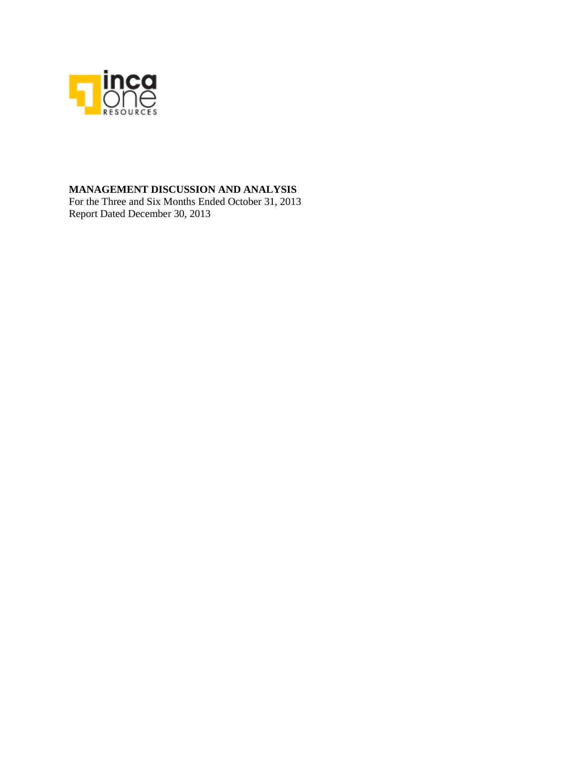

### **MANAGEMENT DISCUSSION AND ANALYSIS**

For the Three and Six Months Ended October 31, 2013 Report Dated December 30, 2013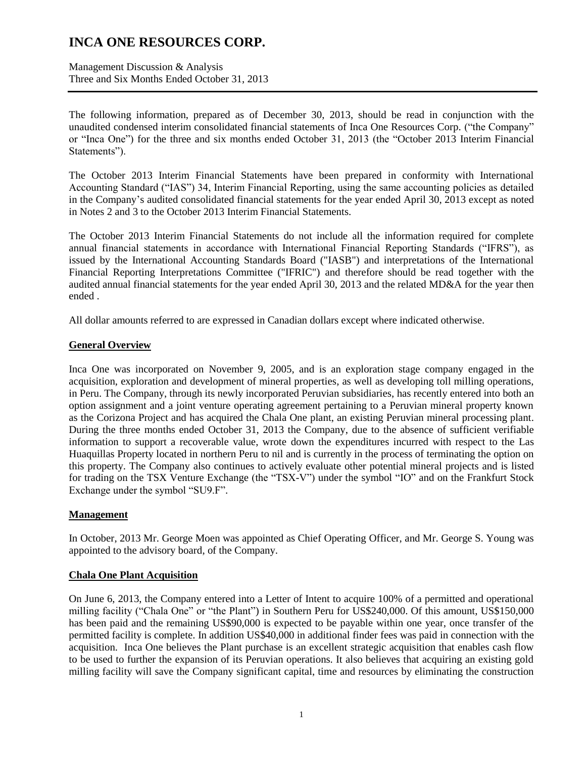Management Discussion & Analysis Three and Six Months Ended October 31, 2013

The following information, prepared as of December 30, 2013, should be read in conjunction with the unaudited condensed interim consolidated financial statements of Inca One Resources Corp. ("the Company" or "Inca One") for the three and six months ended October 31, 2013 (the "October 2013 Interim Financial Statements").

The October 2013 Interim Financial Statements have been prepared in conformity with International Accounting Standard ("IAS") 34, Interim Financial Reporting, using the same accounting policies as detailed in the Company's audited consolidated financial statements for the year ended April 30, 2013 except as noted in Notes 2 and 3 to the October 2013 Interim Financial Statements.

The October 2013 Interim Financial Statements do not include all the information required for complete annual financial statements in accordance with International Financial Reporting Standards ("IFRS"), as issued by the International Accounting Standards Board ("IASB") and interpretations of the International Financial Reporting Interpretations Committee ("IFRIC") and therefore should be read together with the audited annual financial statements for the year ended April 30, 2013 and the related MD&A for the year then ended .

All dollar amounts referred to are expressed in Canadian dollars except where indicated otherwise.

### **General Overview**

Inca One was incorporated on November 9, 2005, and is an exploration stage company engaged in the acquisition, exploration and development of mineral properties, as well as developing toll milling operations, in Peru. The Company, through its newly incorporated Peruvian subsidiaries, has recently entered into both an option assignment and a joint venture operating agreement pertaining to a Peruvian mineral property known as the Corizona Project and has acquired the Chala One plant, an existing Peruvian mineral processing plant. During the three months ended October 31, 2013 the Company, due to the absence of sufficient verifiable information to support a recoverable value, wrote down the expenditures incurred with respect to the Las Huaquillas Property located in northern Peru to nil and is currently in the process of terminating the option on this property. The Company also continues to actively evaluate other potential mineral projects and is listed for trading on the TSX Venture Exchange (the "TSX-V") under the symbol "IO" and on the Frankfurt Stock Exchange under the symbol "SU9.F".

### **Management**

In October, 2013 Mr. George Moen was appointed as Chief Operating Officer, and Mr. George S. Young was appointed to the advisory board, of the Company.

#### **Chala One Plant Acquisition**

On June 6, 2013, the Company entered into a Letter of Intent to acquire 100% of a permitted and operational milling facility ("Chala One" or "the Plant") in Southern Peru for US\$240,000. Of this amount, US\$150,000 has been paid and the remaining US\$90,000 is expected to be payable within one year, once transfer of the permitted facility is complete. In addition US\$40,000 in additional finder fees was paid in connection with the acquisition. Inca One believes the Plant purchase is an excellent strategic acquisition that enables cash flow to be used to further the expansion of its Peruvian operations. It also believes that acquiring an existing gold milling facility will save the Company significant capital, time and resources by eliminating the construction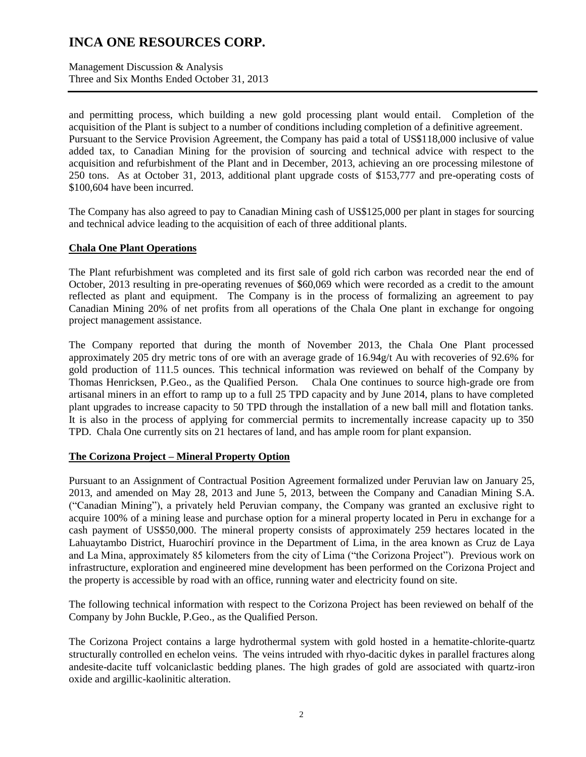Management Discussion & Analysis Three and Six Months Ended October 31, 2013

and permitting process, which building a new gold processing plant would entail. Completion of the acquisition of the Plant is subject to a number of conditions including completion of a definitive agreement. Pursuant to the Service Provision Agreement, the Company has paid a total of US\$118,000 inclusive of value added tax, to Canadian Mining for the provision of sourcing and technical advice with respect to the acquisition and refurbishment of the Plant and in December, 2013, achieving an ore processing milestone of 250 tons. As at October 31, 2013, additional plant upgrade costs of \$153,777 and pre-operating costs of \$100,604 have been incurred.

The Company has also agreed to pay to Canadian Mining cash of US\$125,000 per plant in stages for sourcing and technical advice leading to the acquisition of each of three additional plants.

### **Chala One Plant Operations**

The Plant refurbishment was completed and its first sale of gold rich carbon was recorded near the end of October, 2013 resulting in pre-operating revenues of \$60,069 which were recorded as a credit to the amount reflected as plant and equipment. The Company is in the process of formalizing an agreement to pay Canadian Mining 20% of net profits from all operations of the Chala One plant in exchange for ongoing project management assistance.

The Company reported that during the month of November 2013, the Chala One Plant processed approximately 205 dry metric tons of ore with an average grade of 16.94g/t Au with recoveries of 92.6% for gold production of 111.5 ounces. This technical information was reviewed on behalf of the Company by Thomas Henricksen, P.Geo., as the Qualified Person. Chala One continues to source high-grade ore from artisanal miners in an effort to ramp up to a full 25 TPD capacity and by June 2014, plans to have completed plant upgrades to increase capacity to 50 TPD through the installation of a new ball mill and flotation tanks. It is also in the process of applying for commercial permits to incrementally increase capacity up to 350 TPD. Chala One currently sits on 21 hectares of land, and has ample room for plant expansion.

#### **The Corizona Project – Mineral Property Option**

Pursuant to an Assignment of Contractual Position Agreement formalized under Peruvian law on January 25, 2013, and amended on May 28, 2013 and June 5, 2013, between the Company and Canadian Mining S.A. ("Canadian Mining"), a privately held Peruvian company, the Company was granted an exclusive right to acquire 100% of a mining lease and purchase option for a mineral property located in Peru in exchange for a cash payment of US\$50,000. The mineral property consists of approximately 259 hectares located in the Lahuaytambo District, Huarochirí province in the Department of Lima, in the area known as Cruz de Laya and La Mina, approximately 85 kilometers from the city of Lima ("the Corizona Project"). Previous work on infrastructure, exploration and engineered mine development has been performed on the Corizona Project and the property is accessible by road with an office, running water and electricity found on site.

The following technical information with respect to the Corizona Project has been reviewed on behalf of the Company by John Buckle, P.Geo., as the Qualified Person.

The Corizona Project contains a large hydrothermal system with gold hosted in a hematite-chlorite-quartz structurally controlled en echelon veins. The veins intruded with rhyo-dacitic dykes in parallel fractures along andesite-dacite tuff volcaniclastic bedding planes. The high grades of gold are associated with quartz-iron oxide and argillic-kaolinitic alteration.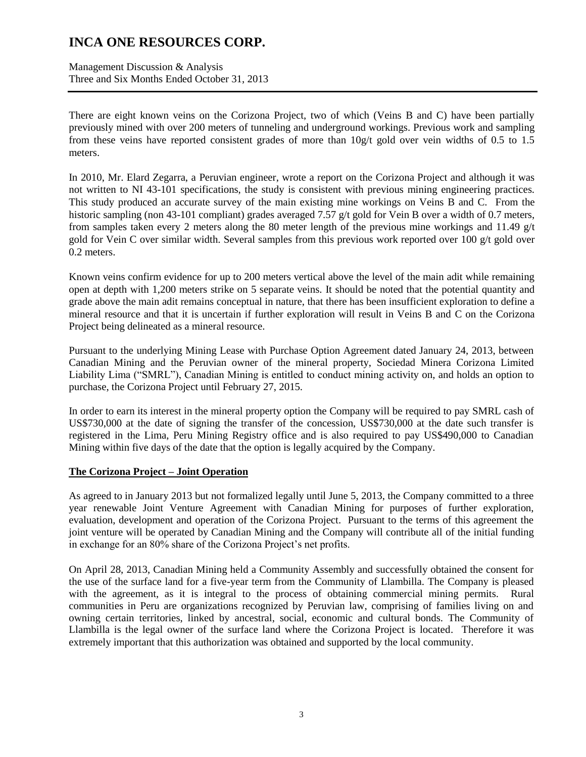Management Discussion & Analysis Three and Six Months Ended October 31, 2013

There are eight known veins on the Corizona Project, two of which (Veins B and C) have been partially previously mined with over 200 meters of tunneling and underground workings. Previous work and sampling from these veins have reported consistent grades of more than  $10g/t$  gold over vein widths of 0.5 to 1.5 meters.

In 2010, Mr. Elard Zegarra, a Peruvian engineer, wrote a report on the Corizona Project and although it was not written to NI 43-101 specifications, the study is consistent with previous mining engineering practices. This study produced an accurate survey of the main existing mine workings on Veins B and C. From the historic sampling (non 43-101 compliant) grades averaged 7.57 g/t gold for Vein B over a width of 0.7 meters, from samples taken every 2 meters along the 80 meter length of the previous mine workings and 11.49  $g/t$ gold for Vein C over similar width. Several samples from this previous work reported over 100  $g/t$  gold over 0.2 meters.

Known veins confirm evidence for up to 200 meters vertical above the level of the main adit while remaining open at depth with 1,200 meters strike on 5 separate veins. It should be noted that the potential quantity and grade above the main adit remains conceptual in nature, that there has been insufficient exploration to define a mineral resource and that it is uncertain if further exploration will result in Veins B and C on the Corizona Project being delineated as a mineral resource.

Pursuant to the underlying Mining Lease with Purchase Option Agreement dated January 24, 2013, between Canadian Mining and the Peruvian owner of the mineral property, Sociedad Minera Corizona Limited Liability Lima ("SMRL"), Canadian Mining is entitled to conduct mining activity on, and holds an option to purchase, the Corizona Project until February 27, 2015.

In order to earn its interest in the mineral property option the Company will be required to pay SMRL cash of US\$730,000 at the date of signing the transfer of the concession, US\$730,000 at the date such transfer is registered in the Lima, Peru Mining Registry office and is also required to pay US\$490,000 to Canadian Mining within five days of the date that the option is legally acquired by the Company.

#### **The Corizona Project – Joint Operation**

As agreed to in January 2013 but not formalized legally until June 5, 2013, the Company committed to a three year renewable Joint Venture Agreement with Canadian Mining for purposes of further exploration, evaluation, development and operation of the Corizona Project. Pursuant to the terms of this agreement the joint venture will be operated by Canadian Mining and the Company will contribute all of the initial funding in exchange for an 80% share of the Corizona Project's net profits.

On April 28, 2013, Canadian Mining held a Community Assembly and successfully obtained the consent for the use of the surface land for a five-year term from the Community of Llambilla. The Company is pleased with the agreement, as it is integral to the process of obtaining commercial mining permits. Rural communities in Peru are organizations recognized by Peruvian law, comprising of families living on and owning certain territories, linked by ancestral, social, economic and cultural bonds. The Community of Llambilla is the legal owner of the surface land where the Corizona Project is located. Therefore it was extremely important that this authorization was obtained and supported by the local community.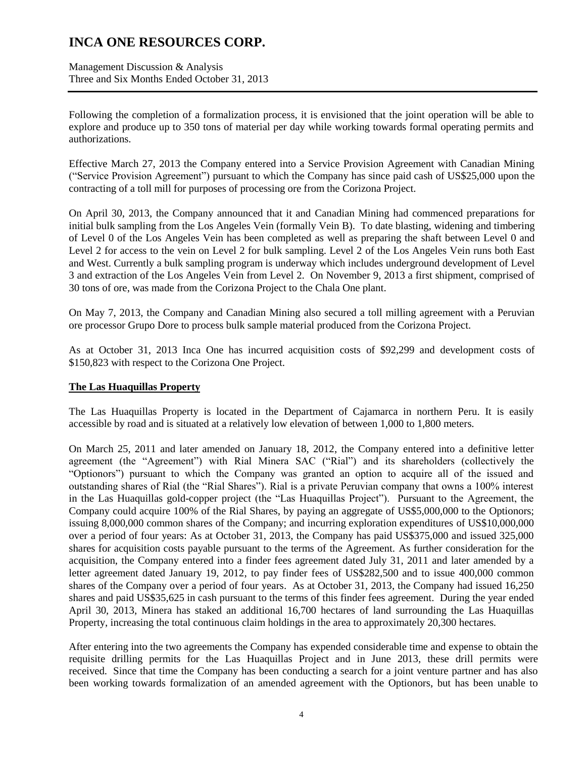Management Discussion & Analysis Three and Six Months Ended October 31, 2013

Following the completion of a formalization process, it is envisioned that the joint operation will be able to explore and produce up to 350 tons of material per day while working towards formal operating permits and authorizations.

Effective March 27, 2013 the Company entered into a Service Provision Agreement with Canadian Mining ("Service Provision Agreement") pursuant to which the Company has since paid cash of US\$25,000 upon the contracting of a toll mill for purposes of processing ore from the Corizona Project.

On April 30, 2013, the Company announced that it and Canadian Mining had commenced preparations for initial bulk sampling from the Los Angeles Vein (formally Vein B). To date blasting, widening and timbering of Level 0 of the Los Angeles Vein has been completed as well as preparing the shaft between Level 0 and Level 2 for access to the vein on Level 2 for bulk sampling. Level 2 of the Los Angeles Vein runs both East and West. Currently a bulk sampling program is underway which includes underground development of Level 3 and extraction of the Los Angeles Vein from Level 2. On November 9, 2013 a first shipment, comprised of 30 tons of ore, was made from the Corizona Project to the Chala One plant.

On May 7, 2013, the Company and Canadian Mining also secured a toll milling agreement with a Peruvian ore processor Grupo Dore to process bulk sample material produced from the Corizona Project.

As at October 31, 2013 Inca One has incurred acquisition costs of \$92,299 and development costs of \$150,823 with respect to the Corizona One Project.

#### **The Las Huaquillas Property**

The Las Huaquillas Property is located in the Department of Cajamarca in northern Peru. It is easily accessible by road and is situated at a relatively low elevation of between 1,000 to 1,800 meters.

On March 25, 2011 and later amended on January 18, 2012, the Company entered into a definitive letter agreement (the "Agreement") with Rial Minera SAC ("Rial") and its shareholders (collectively the "Optionors") pursuant to which the Company was granted an option to acquire all of the issued and outstanding shares of Rial (the "Rial Shares"). Rial is a private Peruvian company that owns a 100% interest in the Las Huaquillas gold-copper project (the "Las Huaquillas Project"). Pursuant to the Agreement, the Company could acquire 100% of the Rial Shares, by paying an aggregate of US\$5,000,000 to the Optionors; issuing 8,000,000 common shares of the Company; and incurring exploration expenditures of US\$10,000,000 over a period of four years: As at October 31, 2013, the Company has paid US\$375,000 and issued 325,000 shares for acquisition costs payable pursuant to the terms of the Agreement. As further consideration for the acquisition, the Company entered into a finder fees agreement dated July 31, 2011 and later amended by a letter agreement dated January 19, 2012, to pay finder fees of US\$282,500 and to issue 400,000 common shares of the Company over a period of four years. As at October 31, 2013, the Company had issued 16,250 shares and paid US\$35,625 in cash pursuant to the terms of this finder fees agreement. During the year ended April 30, 2013, Minera has staked an additional 16,700 hectares of land surrounding the Las Huaquillas Property, increasing the total continuous claim holdings in the area to approximately 20,300 hectares.

After entering into the two agreements the Company has expended considerable time and expense to obtain the requisite drilling permits for the Las Huaquillas Project and in June 2013, these drill permits were received. Since that time the Company has been conducting a search for a joint venture partner and has also been working towards formalization of an amended agreement with the Optionors, but has been unable to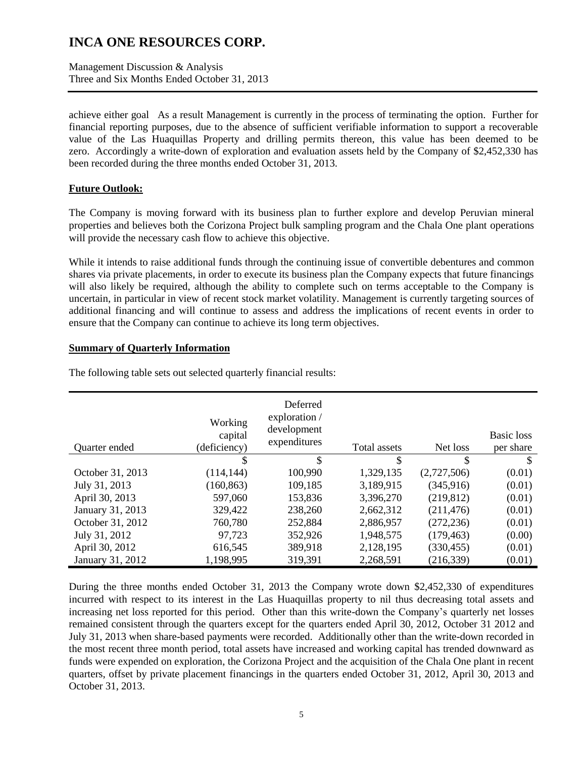Management Discussion & Analysis Three and Six Months Ended October 31, 2013

achieve either goal As a result Management is currently in the process of terminating the option. Further for financial reporting purposes, due to the absence of sufficient verifiable information to support a recoverable value of the Las Huaquillas Property and drilling permits thereon, this value has been deemed to be zero. Accordingly a write-down of exploration and evaluation assets held by the Company of \$2,452,330 has been recorded during the three months ended October 31, 2013.

#### **Future Outlook:**

The Company is moving forward with its business plan to further explore and develop Peruvian mineral properties and believes both the Corizona Project bulk sampling program and the Chala One plant operations will provide the necessary cash flow to achieve this objective.

While it intends to raise additional funds through the continuing issue of convertible debentures and common shares via private placements, in order to execute its business plan the Company expects that future financings will also likely be required, although the ability to complete such on terms acceptable to the Company is uncertain, in particular in view of recent stock market volatility. Management is currently targeting sources of additional financing and will continue to assess and address the implications of recent events in order to ensure that the Company can continue to achieve its long term objectives.

#### **Summary of Quarterly Information**

| Quarter ended    | Working<br>capital<br>(deficiency) | Deferred<br>exploration /<br>development<br>expenditures | Total assets | Net loss    | <b>Basic</b> loss<br>per share |
|------------------|------------------------------------|----------------------------------------------------------|--------------|-------------|--------------------------------|
|                  | \$                                 | \$                                                       | \$           | \$          | \$                             |
| October 31, 2013 | (114, 144)                         | 100,990                                                  | 1,329,135    | (2,727,506) | (0.01)                         |
| July 31, 2013    | (160, 863)                         | 109,185                                                  | 3,189,915    | (345, 916)  | (0.01)                         |
| April 30, 2013   | 597,060                            | 153,836                                                  | 3,396,270    | (219, 812)  | (0.01)                         |
| January 31, 2013 | 329,422                            | 238,260                                                  | 2,662,312    | (211, 476)  | (0.01)                         |
| October 31, 2012 | 760,780                            | 252,884                                                  | 2,886,957    | (272, 236)  | (0.01)                         |
| July 31, 2012    | 97,723                             | 352,926                                                  | 1,948,575    | (179, 463)  | (0.00)                         |
| April 30, 2012   | 616,545                            | 389,918                                                  | 2,128,195    | (330, 455)  | (0.01)                         |
| January 31, 2012 | 1,198,995                          | 319,391                                                  | 2,268,591    | (216, 339)  | (0.01)                         |

The following table sets out selected quarterly financial results:

During the three months ended October 31, 2013 the Company wrote down \$2,452,330 of expenditures incurred with respect to its interest in the Las Huaquillas property to nil thus decreasing total assets and increasing net loss reported for this period. Other than this write-down the Company's quarterly net losses remained consistent through the quarters except for the quarters ended April 30, 2012, October 31 2012 and July 31, 2013 when share-based payments were recorded. Additionally other than the write-down recorded in the most recent three month period, total assets have increased and working capital has trended downward as funds were expended on exploration, the Corizona Project and the acquisition of the Chala One plant in recent quarters, offset by private placement financings in the quarters ended October 31, 2012, April 30, 2013 and October 31, 2013.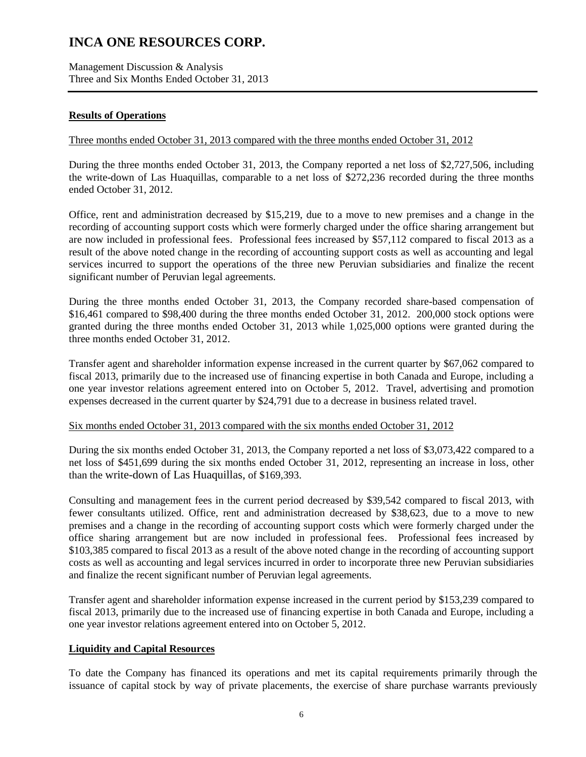Management Discussion & Analysis Three and Six Months Ended October 31, 2013

### **Results of Operations**

### Three months ended October 31, 2013 compared with the three months ended October 31, 2012

During the three months ended October 31, 2013, the Company reported a net loss of \$2,727,506, including the write-down of Las Huaquillas, comparable to a net loss of \$272,236 recorded during the three months ended October 31, 2012.

Office, rent and administration decreased by \$15,219, due to a move to new premises and a change in the recording of accounting support costs which were formerly charged under the office sharing arrangement but are now included in professional fees. Professional fees increased by \$57,112 compared to fiscal 2013 as a result of the above noted change in the recording of accounting support costs as well as accounting and legal services incurred to support the operations of the three new Peruvian subsidiaries and finalize the recent significant number of Peruvian legal agreements.

During the three months ended October 31, 2013, the Company recorded share-based compensation of \$16,461 compared to \$98,400 during the three months ended October 31, 2012. 200,000 stock options were granted during the three months ended October 31, 2013 while 1,025,000 options were granted during the three months ended October 31, 2012.

Transfer agent and shareholder information expense increased in the current quarter by \$67,062 compared to fiscal 2013, primarily due to the increased use of financing expertise in both Canada and Europe, including a one year investor relations agreement entered into on October 5, 2012. Travel, advertising and promotion expenses decreased in the current quarter by \$24,791 due to a decrease in business related travel.

#### Six months ended October 31, 2013 compared with the six months ended October 31, 2012

During the six months ended October 31, 2013, the Company reported a net loss of \$3,073,422 compared to a net loss of \$451,699 during the six months ended October 31, 2012, representing an increase in loss, other than the write-down of Las Huaquillas, of \$169,393.

Consulting and management fees in the current period decreased by \$39,542 compared to fiscal 2013, with fewer consultants utilized. Office, rent and administration decreased by \$38,623, due to a move to new premises and a change in the recording of accounting support costs which were formerly charged under the office sharing arrangement but are now included in professional fees. Professional fees increased by \$103,385 compared to fiscal 2013 as a result of the above noted change in the recording of accounting support costs as well as accounting and legal services incurred in order to incorporate three new Peruvian subsidiaries and finalize the recent significant number of Peruvian legal agreements.

Transfer agent and shareholder information expense increased in the current period by \$153,239 compared to fiscal 2013, primarily due to the increased use of financing expertise in both Canada and Europe, including a one year investor relations agreement entered into on October 5, 2012.

#### **Liquidity and Capital Resources**

To date the Company has financed its operations and met its capital requirements primarily through the issuance of capital stock by way of private placements, the exercise of share purchase warrants previously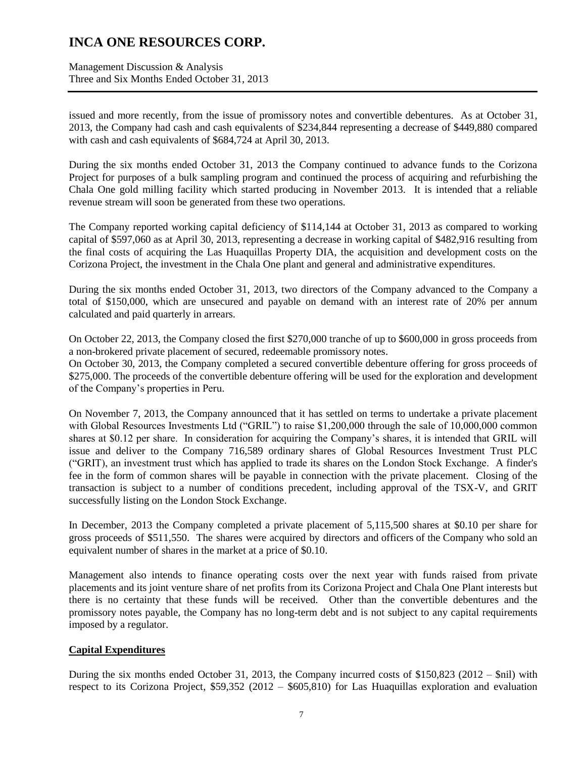Management Discussion & Analysis Three and Six Months Ended October 31, 2013

issued and more recently, from the issue of promissory notes and convertible debentures. As at October 31, 2013, the Company had cash and cash equivalents of \$234,844 representing a decrease of \$449,880 compared with cash and cash equivalents of \$684,724 at April 30, 2013.

During the six months ended October 31, 2013 the Company continued to advance funds to the Corizona Project for purposes of a bulk sampling program and continued the process of acquiring and refurbishing the Chala One gold milling facility which started producing in November 2013. It is intended that a reliable revenue stream will soon be generated from these two operations.

The Company reported working capital deficiency of \$114,144 at October 31, 2013 as compared to working capital of \$597,060 as at April 30, 2013, representing a decrease in working capital of \$482,916 resulting from the final costs of acquiring the Las Huaquillas Property DIA, the acquisition and development costs on the Corizona Project, the investment in the Chala One plant and general and administrative expenditures.

During the six months ended October 31, 2013, two directors of the Company advanced to the Company a total of \$150,000, which are unsecured and payable on demand with an interest rate of 20% per annum calculated and paid quarterly in arrears.

On October 22, 2013, the Company closed the first \$270,000 tranche of up to \$600,000 in gross proceeds from a non-brokered private placement of secured, redeemable promissory notes.

On October 30, 2013, the Company completed a secured convertible debenture offering for gross proceeds of \$275,000. The proceeds of the convertible debenture offering will be used for the exploration and development of the Company's properties in Peru.

On November 7, 2013, the Company announced that it has settled on terms to undertake a private placement with Global Resources Investments Ltd ("GRIL") to raise \$1,200,000 through the sale of 10,000,000 common shares at \$0.12 per share. In consideration for acquiring the Company's shares, it is intended that GRIL will issue and deliver to the Company 716,589 ordinary shares of Global Resources Investment Trust PLC ("GRIT), an investment trust which has applied to trade its shares on the London Stock Exchange. A finder's fee in the form of common shares will be payable in connection with the private placement. Closing of the transaction is subject to a number of conditions precedent, including approval of the TSX-V, and GRIT successfully listing on the London Stock Exchange.

In December, 2013 the Company completed a private placement of 5,115,500 shares at \$0.10 per share for gross proceeds of \$511,550. The shares were acquired by directors and officers of the Company who sold an equivalent number of shares in the market at a price of \$0.10.

Management also intends to finance operating costs over the next year with funds raised from private placements and its joint venture share of net profits from its Corizona Project and Chala One Plant interests but there is no certainty that these funds will be received. Other than the convertible debentures and the promissory notes payable, the Company has no long-term debt and is not subject to any capital requirements imposed by a regulator.

### **Capital Expenditures**

During the six months ended October 31, 2013, the Company incurred costs of \$150,823 (2012 – \$nil) with respect to its Corizona Project, \$59,352 (2012 – \$605,810) for Las Huaquillas exploration and evaluation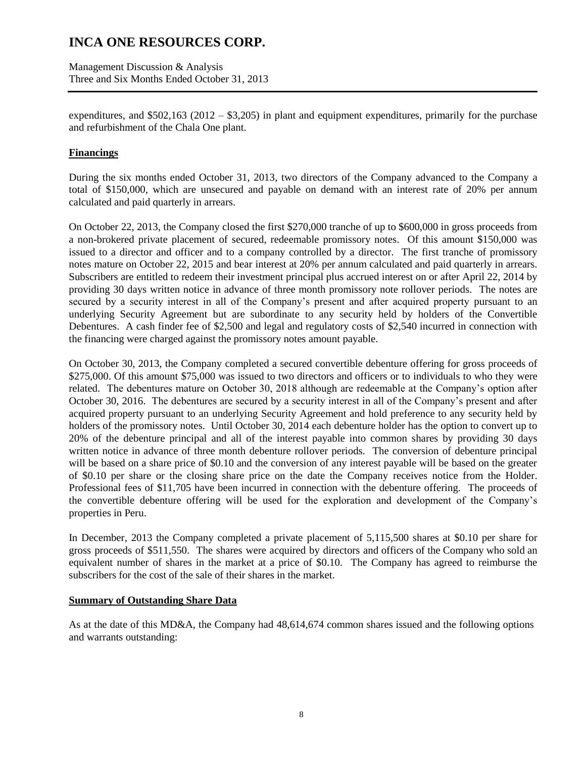Management Discussion & Analysis Three and Six Months Ended October 31, 2013

expenditures, and  $$502,163$  ( $2012 - $3,205$ ) in plant and equipment expenditures, primarily for the purchase and refurbishment of the Chala One plant.

### **Financings**

During the six months ended October 31, 2013, two directors of the Company advanced to the Company a total of \$150,000, which are unsecured and payable on demand with an interest rate of 20% per annum calculated and paid quarterly in arrears.

On October 22, 2013, the Company closed the first \$270,000 tranche of up to \$600,000 in gross proceeds from a non-brokered private placement of secured, redeemable promissory notes. Of this amount \$150,000 was issued to a director and officer and to a company controlled by a director. The first tranche of promissory notes mature on October 22, 2015 and bear interest at 20% per annum calculated and paid quarterly in arrears. Subscribers are entitled to redeem their investment principal plus accrued interest on or after April 22, 2014 by providing 30 days written notice in advance of three month promissory note rollover periods. The notes are secured by a security interest in all of the Company's present and after acquired property pursuant to an underlying Security Agreement but are subordinate to any security held by holders of the Convertible Debentures. A cash finder fee of \$2,500 and legal and regulatory costs of \$2,540 incurred in connection with the financing were charged against the promissory notes amount payable.

On October 30, 2013, the Company completed a secured convertible debenture offering for gross proceeds of \$275,000. Of this amount \$75,000 was issued to two directors and officers or to individuals to who they were related. The debentures mature on October 30, 2018 although are redeemable at the Company's option after October 30, 2016. The debentures are secured by a security interest in all of the Company's present and after acquired property pursuant to an underlying Security Agreement and hold preference to any security held by holders of the promissory notes. Until October 30, 2014 each debenture holder has the option to convert up to 20% of the debenture principal and all of the interest payable into common shares by providing 30 days written notice in advance of three month debenture rollover periods. The conversion of debenture principal will be based on a share price of \$0.10 and the conversion of any interest payable will be based on the greater of \$0.10 per share or the closing share price on the date the Company receives notice from the Holder. Professional fees of \$11,705 have been incurred in connection with the debenture offering. The proceeds of the convertible debenture offering will be used for the exploration and development of the Company's properties in Peru.

In December, 2013 the Company completed a private placement of 5,115,500 shares at \$0.10 per share for gross proceeds of \$511,550. The shares were acquired by directors and officers of the Company who sold an equivalent number of shares in the market at a price of \$0.10. The Company has agreed to reimburse the subscribers for the cost of the sale of their shares in the market.

#### **Summary of Outstanding Share Data**

As at the date of this MD&A, the Company had 48,614,674 common shares issued and the following options and warrants outstanding: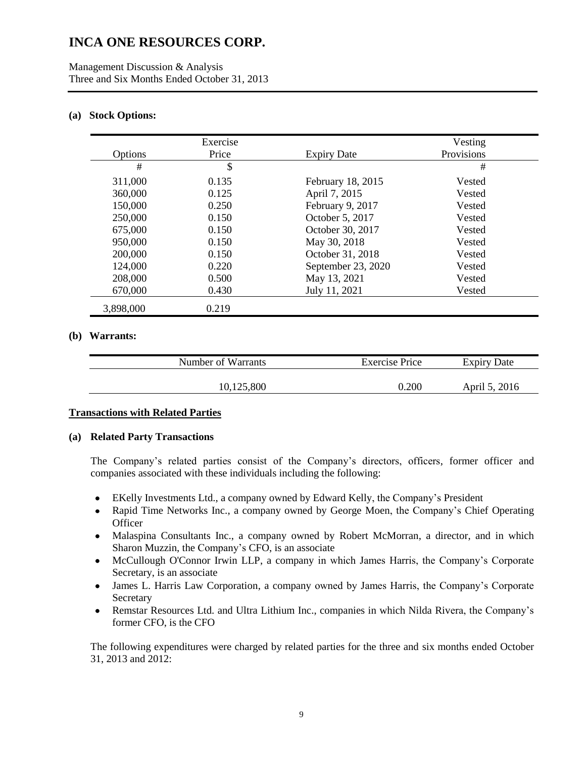#### **(a) Stock Options:**

|           | Exercise |                    | Vesting    |  |
|-----------|----------|--------------------|------------|--|
| Options   | Price    | <b>Expiry Date</b> | Provisions |  |
| #         | \$       |                    | #          |  |
| 311,000   | 0.135    | February 18, 2015  | Vested     |  |
| 360,000   | 0.125    | April 7, 2015      | Vested     |  |
| 150,000   | 0.250    | February 9, 2017   | Vested     |  |
| 250,000   | 0.150    | October 5, 2017    | Vested     |  |
| 675,000   | 0.150    | October 30, 2017   | Vested     |  |
| 950,000   | 0.150    | May 30, 2018       | Vested     |  |
| 200,000   | 0.150    | October 31, 2018   | Vested     |  |
| 124,000   | 0.220    | September 23, 2020 | Vested     |  |
| 208,000   | 0.500    | May 13, 2021       | Vested     |  |
| 670,000   | 0.430    | July 11, 2021      | Vested     |  |
| 3,898,000 | 0.219    |                    |            |  |

#### **(b) Warrants:**

| Number of Warrants | Exercise Price | <b>Expiry Date</b> |
|--------------------|----------------|--------------------|
| 10,125,800         | 0.200          | April 5, 2016      |

#### **Transactions with Related Parties**

#### **(a) Related Party Transactions**

The Company's related parties consist of the Company's directors, officers, former officer and companies associated with these individuals including the following:

- EKelly Investments Ltd., a company owned by Edward Kelly, the Company's President  $\bullet$
- Rapid Time Networks Inc., a company owned by George Moen, the Company's Chief Operating  $\bullet$ **Officer**
- Malaspina Consultants Inc., a company owned by Robert McMorran, a director, and in which  $\bullet$ Sharon Muzzin, the Company's CFO, is an associate
- McCullough O'Connor Irwin LLP, a company in which James Harris, the Company's Corporate  $\bullet$ Secretary, is an associate
- James L. Harris Law Corporation, a company owned by James Harris, the Company's Corporate  $\bullet$ Secretary
- Remstar Resources Ltd. and Ultra Lithium Inc., companies in which Nilda Rivera, the Company's former CFO, is the CFO

The following expenditures were charged by related parties for the three and six months ended October 31, 2013 and 2012: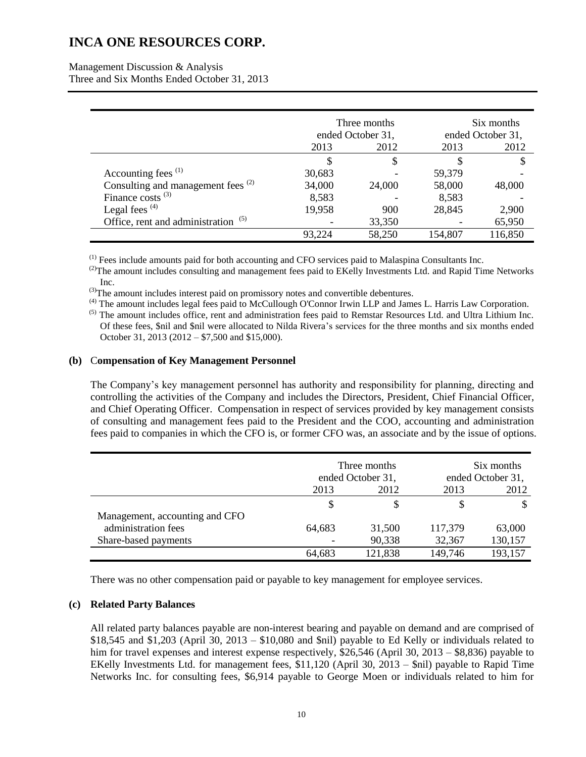Management Discussion & Analysis Three and Six Months Ended October 31, 2013

|                                               |                   | Three months | Six months        |         |  |
|-----------------------------------------------|-------------------|--------------|-------------------|---------|--|
|                                               | ended October 31, |              | ended October 31, |         |  |
|                                               | 2013              | 2012         | 2013              | 2012    |  |
|                                               | S                 | S            |                   | S       |  |
| Accounting fees <sup>(1)</sup>                | 30,683            |              | 59,379            |         |  |
| Consulting and management fees <sup>(2)</sup> | 34,000            | 24,000       | 58,000            | 48,000  |  |
| Finance costs $^{(3)}$                        | 8,583             |              | 8,583             |         |  |
| Legal fees $(4)$                              | 19,958            | 900          | 28,845            | 2,900   |  |
| Office, rent and administration               |                   | 33,350       |                   | 65,950  |  |
|                                               | 93,224            | 58,250       | 154,807           | 116,850 |  |

 $<sup>(1)</sup>$  Fees include amounts paid for both accounting and CFO services paid to Malaspina Consultants Inc.</sup>

<sup>(2)</sup>The amount includes consulting and management fees paid to EKelly Investments Ltd. and Rapid Time Networks Inc.

(3)The amount includes interest paid on promissory notes and convertible debentures.

(4) The amount includes legal fees paid to McCullough O'Connor Irwin LLP and James L. Harris Law Corporation.

 $<sup>(5)</sup>$  The amount includes office, rent and administration fees paid to Remstar Resources Ltd. and Ultra Lithium Inc.</sup> Of these fees, \$nil and \$nil were allocated to Nilda Rivera's services for the three months and six months ended October 31, 2013 (2012 – \$7,500 and \$15,000).

#### **(b)** C**ompensation of Key Management Personnel**

The Company's key management personnel has authority and responsibility for planning, directing and controlling the activities of the Company and includes the Directors, President, Chief Financial Officer, and Chief Operating Officer. Compensation in respect of services provided by key management consists of consulting and management fees paid to the President and the COO, accounting and administration fees paid to companies in which the CFO is, or former CFO was, an associate and by the issue of options.

|                                | Three months<br>ended October 31, |         |         | Six months<br>ended October 31, |  |
|--------------------------------|-----------------------------------|---------|---------|---------------------------------|--|
|                                | 2013                              | 2012    | 2013    | 2012                            |  |
|                                | \$                                |         |         |                                 |  |
| Management, accounting and CFO |                                   |         |         |                                 |  |
| administration fees            | 64,683                            | 31,500  | 117,379 | 63,000                          |  |
| Share-based payments           |                                   | 90,338  | 32,367  | 130,157                         |  |
|                                | 64,683                            | 121,838 | 149,746 | 193,157                         |  |

There was no other compensation paid or payable to key management for employee services.

### **(c) Related Party Balances**

All related party balances payable are non-interest bearing and payable on demand and are comprised of  $$18,545$  and  $$1,203$  (April 30, 2013 –  $$10,080$  and  $$nil$ ) payable to Ed Kelly or individuals related to him for travel expenses and interest expense respectively, \$26,546 (April 30, 2013 – \$8,836) payable to EKelly Investments Ltd. for management fees, \$11,120 (April 30, 2013 – \$nil) payable to Rapid Time Networks Inc. for consulting fees, \$6,914 payable to George Moen or individuals related to him for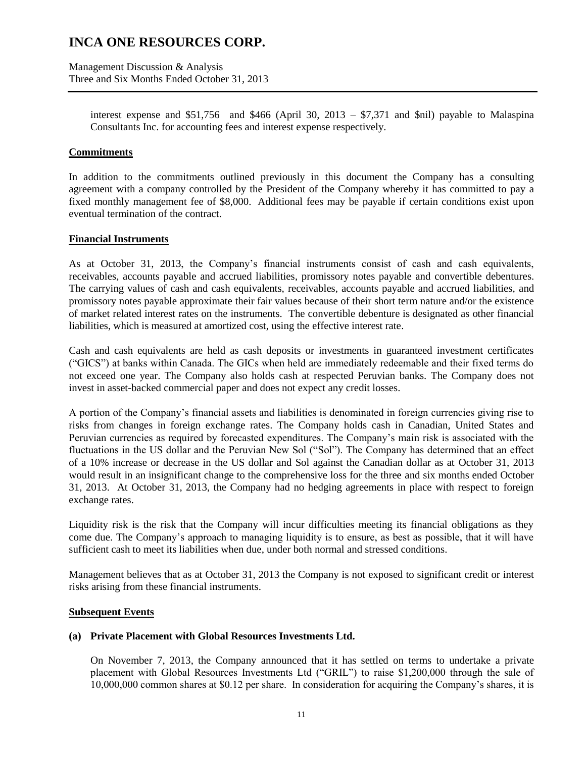Management Discussion & Analysis Three and Six Months Ended October 31, 2013

> interest expense and \$51,756 and \$466 (April 30, 2013 – \$7,371 and \$nil) payable to Malaspina Consultants Inc. for accounting fees and interest expense respectively.

#### **Commitments**

In addition to the commitments outlined previously in this document the Company has a consulting agreement with a company controlled by the President of the Company whereby it has committed to pay a fixed monthly management fee of \$8,000. Additional fees may be payable if certain conditions exist upon eventual termination of the contract.

### **Financial Instruments**

As at October 31, 2013, the Company's financial instruments consist of cash and cash equivalents, receivables, accounts payable and accrued liabilities, promissory notes payable and convertible debentures. The carrying values of cash and cash equivalents, receivables, accounts payable and accrued liabilities, and promissory notes payable approximate their fair values because of their short term nature and/or the existence of market related interest rates on the instruments. The convertible debenture is designated as other financial liabilities, which is measured at amortized cost, using the effective interest rate.

Cash and cash equivalents are held as cash deposits or investments in guaranteed investment certificates ("GICS") at banks within Canada. The GICs when held are immediately redeemable and their fixed terms do not exceed one year. The Company also holds cash at respected Peruvian banks. The Company does not invest in asset-backed commercial paper and does not expect any credit losses.

A portion of the Company's financial assets and liabilities is denominated in foreign currencies giving rise to risks from changes in foreign exchange rates. The Company holds cash in Canadian, United States and Peruvian currencies as required by forecasted expenditures. The Company's main risk is associated with the fluctuations in the US dollar and the Peruvian New Sol ("Sol"). The Company has determined that an effect of a 10% increase or decrease in the US dollar and Sol against the Canadian dollar as at October 31, 2013 would result in an insignificant change to the comprehensive loss for the three and six months ended October 31, 2013. At October 31, 2013, the Company had no hedging agreements in place with respect to foreign exchange rates.

Liquidity risk is the risk that the Company will incur difficulties meeting its financial obligations as they come due. The Company's approach to managing liquidity is to ensure, as best as possible, that it will have sufficient cash to meet its liabilities when due, under both normal and stressed conditions.

Management believes that as at October 31, 2013 the Company is not exposed to significant credit or interest risks arising from these financial instruments.

#### **Subsequent Events**

#### **(a) Private Placement with Global Resources Investments Ltd.**

On November 7, 2013, the Company announced that it has settled on terms to undertake a private placement with Global Resources Investments Ltd ("GRIL") to raise \$1,200,000 through the sale of 10,000,000 common shares at \$0.12 per share. In consideration for acquiring the Company's shares, it is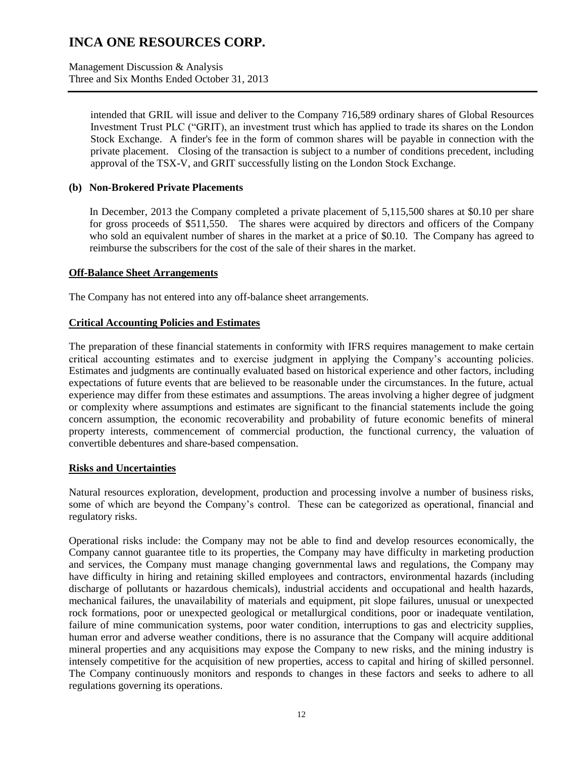Management Discussion & Analysis Three and Six Months Ended October 31, 2013

> intended that GRIL will issue and deliver to the Company 716,589 ordinary shares of Global Resources Investment Trust PLC ("GRIT), an investment trust which has applied to trade its shares on the London Stock Exchange. A finder's fee in the form of common shares will be payable in connection with the private placement. Closing of the transaction is subject to a number of conditions precedent, including approval of the TSX-V, and GRIT successfully listing on the London Stock Exchange.

#### **(b) Non-Brokered Private Placements**

In December, 2013 the Company completed a private placement of 5,115,500 shares at \$0.10 per share for gross proceeds of \$511,550. The shares were acquired by directors and officers of the Company who sold an equivalent number of shares in the market at a price of \$0.10. The Company has agreed to reimburse the subscribers for the cost of the sale of their shares in the market.

#### **Off-Balance Sheet Arrangements**

The Company has not entered into any off-balance sheet arrangements.

#### **Critical Accounting Policies and Estimates**

The preparation of these financial statements in conformity with IFRS requires management to make certain critical accounting estimates and to exercise judgment in applying the Company's accounting policies. Estimates and judgments are continually evaluated based on historical experience and other factors, including expectations of future events that are believed to be reasonable under the circumstances. In the future, actual experience may differ from these estimates and assumptions. The areas involving a higher degree of judgment or complexity where assumptions and estimates are significant to the financial statements include the going concern assumption, the economic recoverability and probability of future economic benefits of mineral property interests, commencement of commercial production, the functional currency, the valuation of convertible debentures and share-based compensation.

#### **Risks and Uncertainties**

Natural resources exploration, development, production and processing involve a number of business risks, some of which are beyond the Company's control. These can be categorized as operational, financial and regulatory risks.

Operational risks include: the Company may not be able to find and develop resources economically, the Company cannot guarantee title to its properties, the Company may have difficulty in marketing production and services, the Company must manage changing governmental laws and regulations, the Company may have difficulty in hiring and retaining skilled employees and contractors, environmental hazards (including discharge of pollutants or hazardous chemicals), industrial accidents and occupational and health hazards, mechanical failures, the unavailability of materials and equipment, pit slope failures, unusual or unexpected rock formations, poor or unexpected geological or metallurgical conditions, poor or inadequate ventilation, failure of mine communication systems, poor water condition, interruptions to gas and electricity supplies, human error and adverse weather conditions, there is no assurance that the Company will acquire additional mineral properties and any acquisitions may expose the Company to new risks, and the mining industry is intensely competitive for the acquisition of new properties, access to capital and hiring of skilled personnel. The Company continuously monitors and responds to changes in these factors and seeks to adhere to all regulations governing its operations.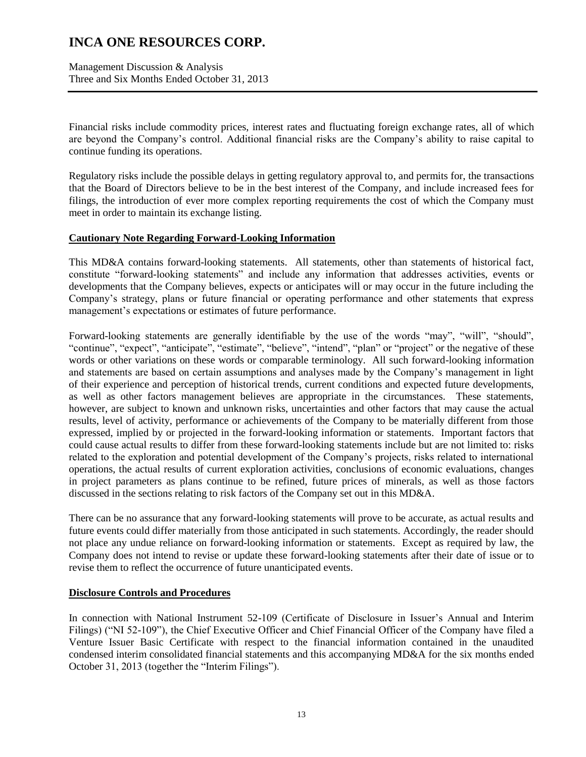Management Discussion & Analysis Three and Six Months Ended October 31, 2013

Financial risks include commodity prices, interest rates and fluctuating foreign exchange rates, all of which are beyond the Company's control. Additional financial risks are the Company's ability to raise capital to continue funding its operations.

Regulatory risks include the possible delays in getting regulatory approval to, and permits for, the transactions that the Board of Directors believe to be in the best interest of the Company, and include increased fees for filings, the introduction of ever more complex reporting requirements the cost of which the Company must meet in order to maintain its exchange listing.

### **Cautionary Note Regarding Forward-Looking Information**

This MD&A contains forward-looking statements. All statements, other than statements of historical fact, constitute "forward-looking statements" and include any information that addresses activities, events or developments that the Company believes, expects or anticipates will or may occur in the future including the Company's strategy, plans or future financial or operating performance and other statements that express management's expectations or estimates of future performance.

Forward-looking statements are generally identifiable by the use of the words "may", "will", "should", "continue", "expect", "anticipate", "estimate", "believe", "intend", "plan" or "project" or the negative of these words or other variations on these words or comparable terminology. All such forward-looking information and statements are based on certain assumptions and analyses made by the Company's management in light of their experience and perception of historical trends, current conditions and expected future developments, as well as other factors management believes are appropriate in the circumstances. These statements, however, are subject to known and unknown risks, uncertainties and other factors that may cause the actual results, level of activity, performance or achievements of the Company to be materially different from those expressed, implied by or projected in the forward-looking information or statements. Important factors that could cause actual results to differ from these forward-looking statements include but are not limited to: risks related to the exploration and potential development of the Company's projects, risks related to international operations, the actual results of current exploration activities, conclusions of economic evaluations, changes in project parameters as plans continue to be refined, future prices of minerals, as well as those factors discussed in the sections relating to risk factors of the Company set out in this MD&A.

There can be no assurance that any forward-looking statements will prove to be accurate, as actual results and future events could differ materially from those anticipated in such statements. Accordingly, the reader should not place any undue reliance on forward-looking information or statements. Except as required by law, the Company does not intend to revise or update these forward-looking statements after their date of issue or to revise them to reflect the occurrence of future unanticipated events.

#### **Disclosure Controls and Procedures**

In connection with National Instrument 52-109 (Certificate of Disclosure in Issuer's Annual and Interim Filings) ("NI 52-109"), the Chief Executive Officer and Chief Financial Officer of the Company have filed a Venture Issuer Basic Certificate with respect to the financial information contained in the unaudited condensed interim consolidated financial statements and this accompanying MD&A for the six months ended October 31, 2013 (together the "Interim Filings").